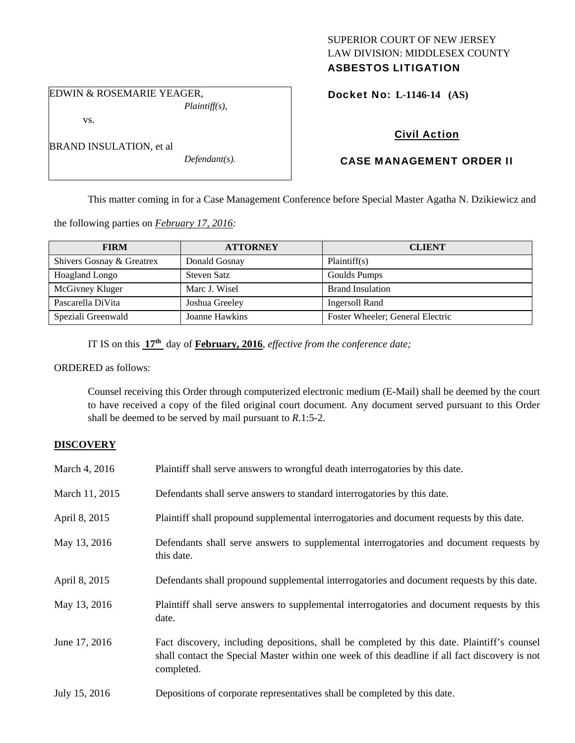## SUPERIOR COURT OF NEW JERSEY LAW DIVISION: MIDDLESEX COUNTY ASBESTOS LITIGATION

EDWIN & ROSEMARIE YEAGER, *Plaintiff(s),* 

vs.

BRAND INSULATION, et al

*Defendant(s).* 

Docket No: **L-1146-14 (AS)** 

# Civil Action

# CASE MANAGEMENT ORDER II

This matter coming in for a Case Management Conference before Special Master Agatha N. Dzikiewicz and

the following parties on *February 17, 2016:* 

| <b>FIRM</b>               | <b>ATTORNEY</b> | <b>CLIENT</b>                    |
|---------------------------|-----------------|----------------------------------|
| Shivers Gosnay & Greatrex | Donald Gosnay   | Plaintiff(s)                     |
| Hoagland Longo            | Steven Satz     | Goulds Pumps                     |
| McGivney Kluger           | Marc J. Wisel   | <b>Brand Insulation</b>          |
| Pascarella DiVita         | Joshua Greeley  | Ingersoll Rand                   |
| Speziali Greenwald        | Joanne Hawkins  | Foster Wheeler; General Electric |

IT IS on this **17th** day of **February, 2016**, *effective from the conference date;*

ORDERED as follows:

Counsel receiving this Order through computerized electronic medium (E-Mail) shall be deemed by the court to have received a copy of the filed original court document. Any document served pursuant to this Order shall be deemed to be served by mail pursuant to *R*.1:5-2.

## **DISCOVERY**

| March 4, 2016  | Plaintiff shall serve answers to wrongful death interrogatories by this date.                                                                                                                               |
|----------------|-------------------------------------------------------------------------------------------------------------------------------------------------------------------------------------------------------------|
| March 11, 2015 | Defendants shall serve answers to standard interrogatories by this date.                                                                                                                                    |
| April 8, 2015  | Plaintiff shall propound supplemental interrogatories and document requests by this date.                                                                                                                   |
| May 13, 2016   | Defendants shall serve answers to supplemental interrogatories and document requests by<br>this date.                                                                                                       |
| April 8, 2015  | Defendants shall propound supplemental interrogatories and document requests by this date.                                                                                                                  |
| May 13, 2016   | Plaintiff shall serve answers to supplemental interrogatories and document requests by this<br>date.                                                                                                        |
| June 17, 2016  | Fact discovery, including depositions, shall be completed by this date. Plaintiff's counsel<br>shall contact the Special Master within one week of this deadline if all fact discovery is not<br>completed. |
| July 15, 2016  | Depositions of corporate representatives shall be completed by this date.                                                                                                                                   |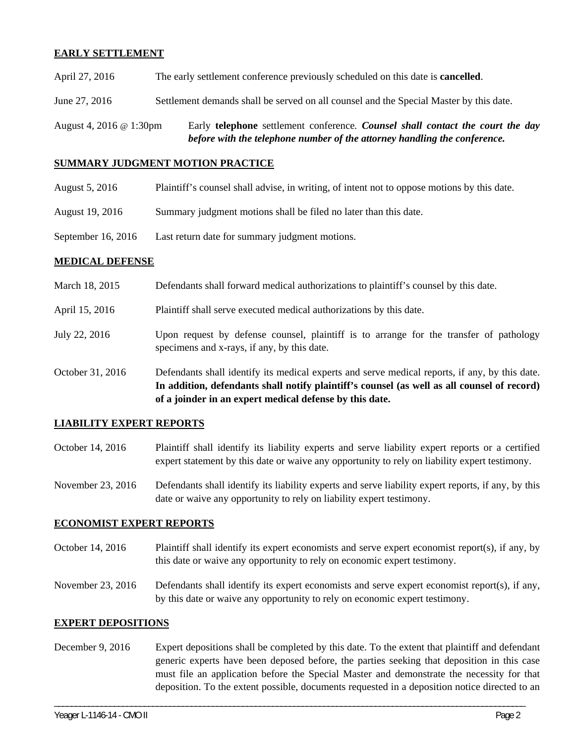## **EARLY SETTLEMENT**

| August 4, 2016 @ 1:30pm | Early telephone settlement conference. Counsel shall contact the court the day<br>before with the telephone number of the attorney handling the conference. |
|-------------------------|-------------------------------------------------------------------------------------------------------------------------------------------------------------|
| June 27, 2016           | Settlement demands shall be served on all counsel and the Special Master by this date.                                                                      |
| April 27, 2016          | The early settlement conference previously scheduled on this date is <b>cancelled</b> .                                                                     |

#### **SUMMARY JUDGMENT MOTION PRACTICE**

| August 5, 2016 | Plaintiff's counsel shall advise, in writing, of intent not to oppose motions by this date. |  |  |
|----------------|---------------------------------------------------------------------------------------------|--|--|
|                |                                                                                             |  |  |

- August 19, 2016 Summary judgment motions shall be filed no later than this date.
- September 16, 2016 Last return date for summary judgment motions.

## **MEDICAL DEFENSE**

| March 18, 2015 | Defendants shall forward medical authorizations to plaintiff's counsel by this date. |  |
|----------------|--------------------------------------------------------------------------------------|--|
|                |                                                                                      |  |

April 15, 2016 Plaintiff shall serve executed medical authorizations by this date.

- July 22, 2016 Upon request by defense counsel, plaintiff is to arrange for the transfer of pathology specimens and x-rays, if any, by this date.
- October 31, 2016 Defendants shall identify its medical experts and serve medical reports, if any, by this date. **In addition, defendants shall notify plaintiff's counsel (as well as all counsel of record) of a joinder in an expert medical defense by this date.**

### **LIABILITY EXPERT REPORTS**

- October 14, 2016 Plaintiff shall identify its liability experts and serve liability expert reports or a certified expert statement by this date or waive any opportunity to rely on liability expert testimony.
- November 23, 2016 Defendants shall identify its liability experts and serve liability expert reports, if any, by this date or waive any opportunity to rely on liability expert testimony.

### **ECONOMIST EXPERT REPORTS**

- October 14, 2016 Plaintiff shall identify its expert economists and serve expert economist report(s), if any, by this date or waive any opportunity to rely on economic expert testimony.
- November 23, 2016 Defendants shall identify its expert economists and serve expert economist report(s), if any, by this date or waive any opportunity to rely on economic expert testimony.

### **EXPERT DEPOSITIONS**

December 9, 2016 Expert depositions shall be completed by this date. To the extent that plaintiff and defendant generic experts have been deposed before, the parties seeking that deposition in this case must file an application before the Special Master and demonstrate the necessity for that deposition. To the extent possible, documents requested in a deposition notice directed to an

\_\_\_\_\_\_\_\_\_\_\_\_\_\_\_\_\_\_\_\_\_\_\_\_\_\_\_\_\_\_\_\_\_\_\_\_\_\_\_\_\_\_\_\_\_\_\_\_\_\_\_\_\_\_\_\_\_\_\_\_\_\_\_\_\_\_\_\_\_\_\_\_\_\_\_\_\_\_\_\_\_\_\_\_\_\_\_\_\_\_\_\_\_\_\_\_\_\_\_\_\_\_\_\_\_\_\_\_\_\_